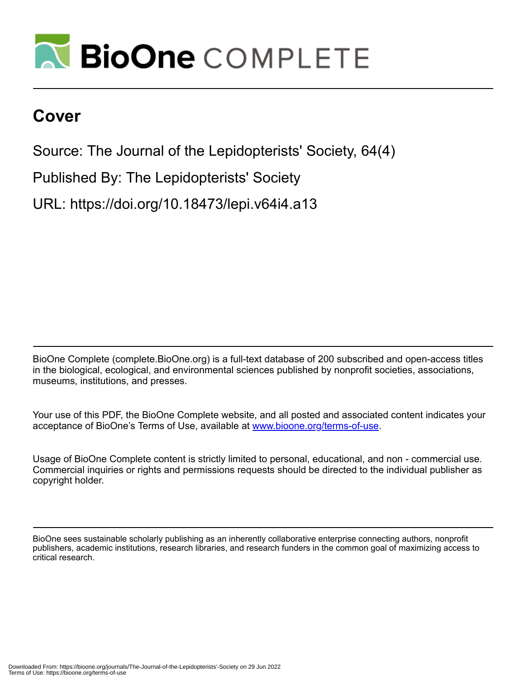

# **Cover**

Source: The Journal of the Lepidopterists' Society, 64(4)

Published By: The Lepidopterists' Society

URL: https://doi.org/10.18473/lepi.v64i4.a13

BioOne Complete (complete.BioOne.org) is a full-text database of 200 subscribed and open-access titles in the biological, ecological, and environmental sciences published by nonprofit societies, associations, museums, institutions, and presses.

Your use of this PDF, the BioOne Complete website, and all posted and associated content indicates your acceptance of BioOne's Terms of Use, available at www.bioone.org/terms-of-use.

Usage of BioOne Complete content is strictly limited to personal, educational, and non - commercial use. Commercial inquiries or rights and permissions requests should be directed to the individual publisher as copyright holder.

BioOne sees sustainable scholarly publishing as an inherently collaborative enterprise connecting authors, nonprofit publishers, academic institutions, research libraries, and research funders in the common goal of maximizing access to critical research.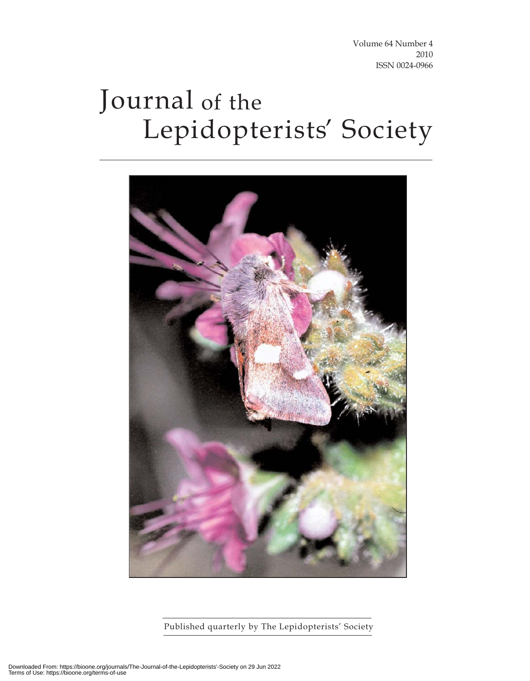Volume 64 Number 4 2010 ISSN 0024-0966

# Journal of the Lepidopterists' Society



Published quarterly by The Lepidopterists' Society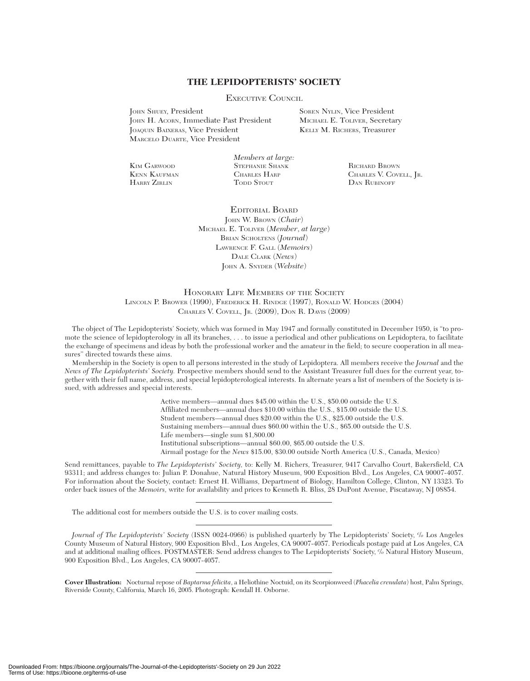## **THE LEPIDOPTERISTS' SOCIETY**

EXECUTIVE COUNCIL

JOHN SHUEY, President SOREN NYLIN, Vice President JOHN H. ACORN, Immediate Past President MICHAEL E. TOLIVER, Secretary JOAQUIN BAIXERAS, Vice President KELLY M. RICHERS, Treasurer MARCELO DUARTE, Vice President

*Members at large:* KIM GARWOOD STEPHANIE SHANK RICHARD BROWN<br>KENN KAUFMAN CHARLES HARP CHARLES V. COVE HARRY ZIRLIN TODD STOUT DAN RUBINOFF

CHARLES HARP CHARLES V. COVELL, JR.<br>
TODD STOUT DAN RUBINOFF

EDITORIAL BOARD JOHN W. BROWN (*Chair*) MICHAEL E. TOLIVER (*Member*, *at large*) BRIAN SCHOLTENS (*Journal*) LAWRENCE F. GALL (*Memoirs*) DALE CLARK (*News*) JOHN A. SNYDER (*Website*)

HONORARY LIFE MEMBERS OF THE SOCIETY LINCOLN P. BROWER (1990), FREDERICK H. RINDGE (1997), RONALD W. HODGES (2004) CHARLES V. COVELL, JR. (2009), DON R. DAVIS (2009)

The object of The Lepidopterists' Society, which was formed in May 1947 and formally constituted in December 1950, is "to promote the science of lepidopterology in all its branches, . . . to issue a periodical and other publications on Lepidoptera, to facilitate the exchange of specimens and ideas by both the professional worker and the amateur in the field; to secure cooperation in all measures'' directed towards these aims.

Membership in the Society is open to all persons interested in the study of Lepidoptera. All members receive the *Journal* and the *News of The Lepidopterists' Society.* Prospective members should send to the Assistant Treasurer full dues for the current year, together with their full name, address, and special lepidopterological interests. In alternate years a list of members of the Society is issued, with addresses and special interests.

> Active members—annual dues \$45.00 within the U.S., \$50.00 outside the U.S. Affiliated members—annual dues \$10.00 within the U.S., \$15.00 outside the U.S. Student members—annual dues \$20.00 within the U.S., \$25.00 outside the U.S. Sustaining members—annual dues \$60.00 within the U.S., \$65.00 outside the U.S. Life members—single sum \$1,800.00 Institutional subscriptions—annual \$60.00, \$65.00 outside the U.S. Airmail postage for the *News* \$15.00, \$30.00 outside North America (U.S., Canada, Mexico)

Send remittances, payable to *The Lepidopterists' Society,* to: Kelly M. Richers, Treasurer, 9417 Carvalho Court, Bakersfield, CA 93311; and address changes to: Julian P. Donahue, Natural History Museum, 900 Exposition Blvd., Los Angeles, CA 90007-4057. For information about the Society, contact: Ernest H. Williams, Department of Biology, Hamilton College, Clinton, NY 13323. To order back issues of the *Memoirs,* write for availability and prices to Kenneth R. Bliss, 28 DuPont Avenue, Piscataway, NJ 08854.

The additional cost for members outside the U.S. is to cover mailing costs.

*Journal of The Lepidopterists' Society* (ISSN 0024-0966) is published quarterly by The Lepidopterists' Society, *<sup>c</sup>* /*<sup>o</sup>* Los Angeles County Museum of Natural History, 900 Exposition Blvd., Los Angeles, CA 90007-4057. Periodicals postage paid at Los Angeles, CA and at additional mailing offices. POSTMASTER: Send address changes to The Lepidopterists' Society, *<sup>c</sup>* /*<sup>o</sup>* Natural History Museum, 900 Exposition Blvd., Los Angeles, CA 90007-4057.

**Cover Illustration:** Nocturnal repose of *Baptarma felicita*, a Heliothine Noctuid, on its Scorpionweed (*Phacelia crenulata*) host, Palm Springs, Riverside County, California, March 16, 2005. Photograph: Kendall H. Osborne.